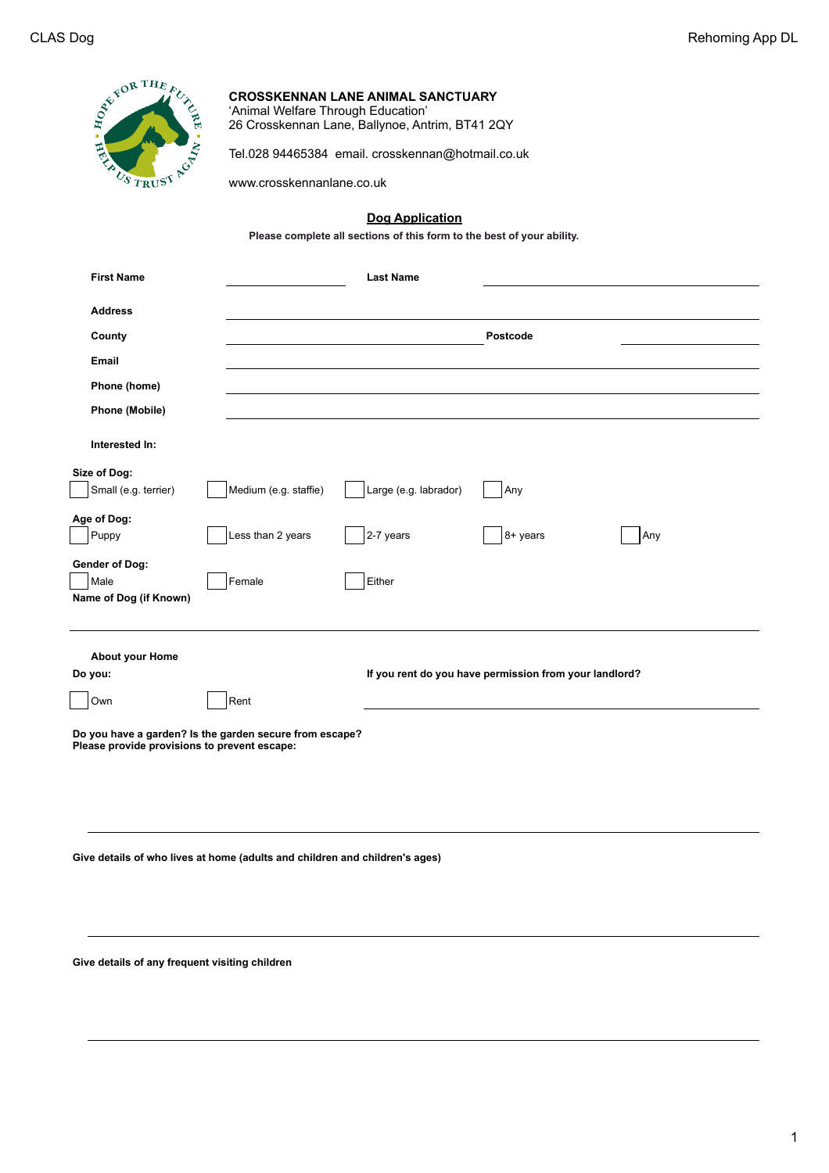| $\epsilon^{OR~THF}$<br>$\overline{F}$<br>ы<br>$C_{S}$ | <b>CROSSKENNAN LANE ANIMAL SANCTUARY</b><br>'Animal Welfare Through Education'<br>26 Crosskennan Lane, Ballynoe, Antrim, BT41 2QY |
|-------------------------------------------------------|-----------------------------------------------------------------------------------------------------------------------------------|
|                                                       | Tel.028 94465384 email. crosskennan@hotmail.co.uk                                                                                 |
|                                                       | www.crosskennanlane.co.uk                                                                                                         |
|                                                       |                                                                                                                                   |

## **Dog Application**

**Please complete all sections of this form to the best of your ability.**

| <b>First Name</b>                                                                                       |                       | <b>Last Name</b>                                       |          |     |  |  |
|---------------------------------------------------------------------------------------------------------|-----------------------|--------------------------------------------------------|----------|-----|--|--|
| <b>Address</b>                                                                                          |                       |                                                        |          |     |  |  |
| County                                                                                                  |                       |                                                        | Postcode |     |  |  |
| Email                                                                                                   |                       |                                                        |          |     |  |  |
| Phone (home)                                                                                            |                       |                                                        |          |     |  |  |
| Phone (Mobile)                                                                                          |                       |                                                        |          |     |  |  |
| Interested In:                                                                                          |                       |                                                        |          |     |  |  |
| Size of Dog:                                                                                            |                       |                                                        |          |     |  |  |
| Small (e.g. terrier)                                                                                    | Medium (e.g. staffie) | Large (e.g. labrador)                                  | Any      |     |  |  |
| Age of Dog:                                                                                             |                       |                                                        |          |     |  |  |
| Puppy                                                                                                   | Less than 2 years     | 2-7 years                                              | 8+ years | Any |  |  |
| <b>Gender of Dog:</b><br>Male<br>Name of Dog (if Known)                                                 | Female                | Either                                                 |          |     |  |  |
| <b>About your Home</b>                                                                                  |                       |                                                        |          |     |  |  |
| Do you:                                                                                                 |                       | If you rent do you have permission from your landlord? |          |     |  |  |
| Own                                                                                                     | Rent                  |                                                        |          |     |  |  |
| Do you have a garden? Is the garden secure from escape?<br>Please provide provisions to prevent escape: |                       |                                                        |          |     |  |  |
| Give details of who lives at home (adults and children and children's ages)                             |                       |                                                        |          |     |  |  |

**Give details of any frequent visiting children**